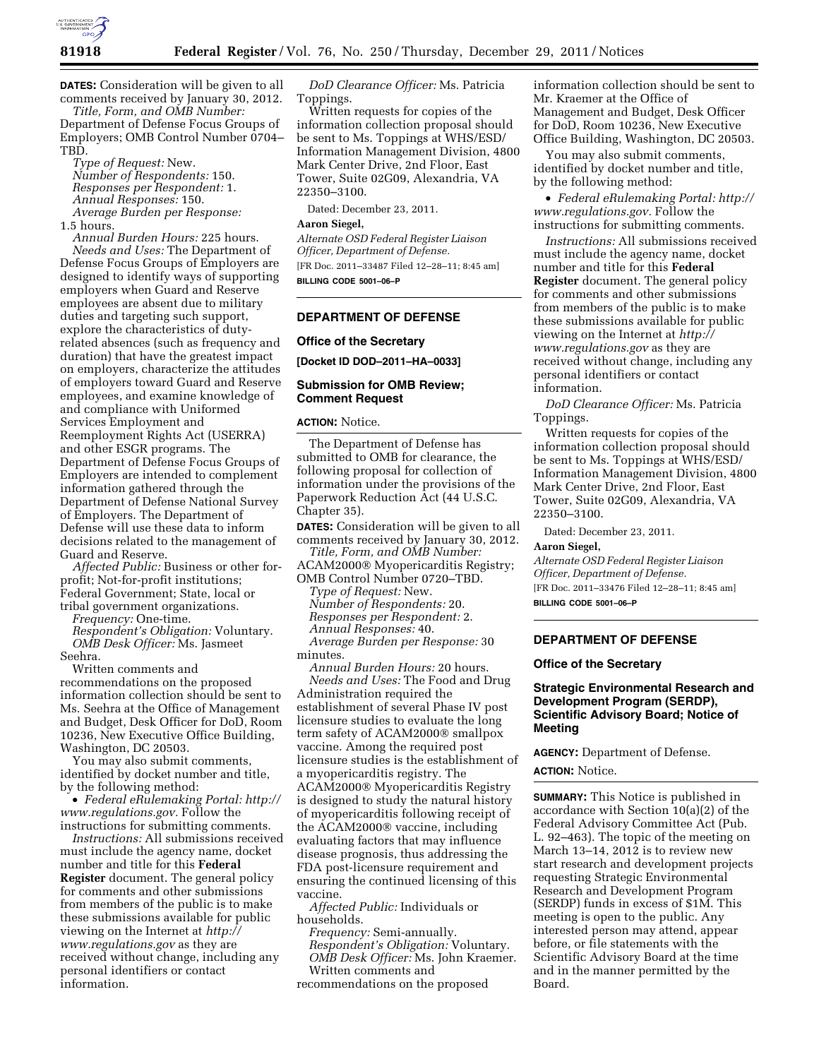

**DATES:** Consideration will be given to all comments received by January 30, 2012. *Title, Form, and OMB Number:* 

Department of Defense Focus Groups of Employers; OMB Control Number 0704– TBD.

*Type of Request:* New. *Number of Respondents:* 150. *Responses per Respondent:* 1. *Annual Responses:* 150. *Average Burden per Response:*  1.5 hours.

*Annual Burden Hours:* 225 hours. *Needs and Uses:* The Department of Defense Focus Groups of Employers are designed to identify ways of supporting employers when Guard and Reserve employees are absent due to military duties and targeting such support, explore the characteristics of dutyrelated absences (such as frequency and duration) that have the greatest impact on employers, characterize the attitudes of employers toward Guard and Reserve employees, and examine knowledge of and compliance with Uniformed Services Employment and Reemployment Rights Act (USERRA) and other ESGR programs. The Department of Defense Focus Groups of Employers are intended to complement information gathered through the Department of Defense National Survey of Employers. The Department of Defense will use these data to inform decisions related to the management of Guard and Reserve.

*Affected Public:* Business or other forprofit; Not-for-profit institutions; Federal Government; State, local or tribal government organizations.

*Frequency:* One-time.

*Respondent's Obligation:* Voluntary. *OMB Desk Officer:* Ms. Jasmeet Seehra.

Written comments and recommendations on the proposed information collection should be sent to Ms. Seehra at the Office of Management and Budget, Desk Officer for DoD, Room 10236, New Executive Office Building, Washington, DC 20503.

You may also submit comments, identified by docket number and title, by the following method:

• *Federal eRulemaking Portal: [http://](http://www.regulations.gov)  [www.regulations.gov.](http://www.regulations.gov)* Follow the instructions for submitting comments.

*Instructions:* All submissions received must include the agency name, docket number and title for this **Federal Register** document. The general policy for comments and other submissions from members of the public is to make these submissions available for public viewing on the Internet at *[http://](http://www.regulations.gov) [www.regulations.gov](http://www.regulations.gov)* as they are received without change, including any personal identifiers or contact information.

*DoD Clearance Officer:* Ms. Patricia Toppings.

Written requests for copies of the information collection proposal should be sent to Ms. Toppings at WHS/ESD/ Information Management Division, 4800 Mark Center Drive, 2nd Floor, East Tower, Suite 02G09, Alexandria, VA 22350–3100.

Dated: December 23, 2011. **Aaron Siegel,** 

*Alternate OSD Federal Register Liaison Officer, Department of Defense.*  [FR Doc. 2011–33487 Filed 12–28–11; 8:45 am] **BILLING CODE 5001–06–P** 

### **DEPARTMENT OF DEFENSE**

#### **Office of the Secretary**

**[Docket ID DOD–2011–HA–0033]** 

### **Submission for OMB Review; Comment Request**

#### **ACTION:** Notice.

The Department of Defense has submitted to OMB for clearance, the following proposal for collection of information under the provisions of the Paperwork Reduction Act (44 U.S.C. Chapter 35).

**DATES:** Consideration will be given to all comments received by January 30, 2012. *Title, Form, and OMB Number:* 

ACAM2000® Myopericarditis Registry; OMB Control Number 0720–TBD.

*Type of Request:* New. *Number of Respondents:* 20. *Responses per Respondent:* 2. *Annual Responses:* 40.

*Average Burden per Response:* 30 minutes.

*Annual Burden Hours:* 20 hours. *Needs and Uses:* The Food and Drug Administration required the establishment of several Phase IV post licensure studies to evaluate the long term safety of ACAM2000® smallpox vaccine. Among the required post licensure studies is the establishment of a myopericarditis registry. The ACAM2000® Myopericarditis Registry is designed to study the natural history of myopericarditis following receipt of the ACAM2000® vaccine, including evaluating factors that may influence disease prognosis, thus addressing the FDA post-licensure requirement and ensuring the continued licensing of this vaccine.

*Affected Public:* Individuals or households.

*Frequency:* Semi-annually. *Respondent's Obligation:* Voluntary. *OMB Desk Officer:* Ms. John Kraemer. Written comments and

recommendations on the proposed

information collection should be sent to Mr. Kraemer at the Office of Management and Budget, Desk Officer for DoD, Room 10236, New Executive Office Building, Washington, DC 20503.

You may also submit comments, identified by docket number and title, by the following method:

• *Federal eRulemaking Portal: [http://](http://www.regulations.gov)  [www.regulations.gov.](http://www.regulations.gov)* Follow the instructions for submitting comments.

*Instructions:* All submissions received must include the agency name, docket number and title for this **Federal Register** document. The general policy for comments and other submissions from members of the public is to make these submissions available for public viewing on the Internet at *[http://](http://www.regulations.gov) [www.regulations.gov](http://www.regulations.gov)* as they are received without change, including any personal identifiers or contact information.

*DoD Clearance Officer:* Ms. Patricia Toppings.

Written requests for copies of the information collection proposal should be sent to Ms. Toppings at WHS/ESD/ Information Management Division, 4800 Mark Center Drive, 2nd Floor, East Tower, Suite 02G09, Alexandria, VA 22350–3100.

Dated: December 23, 2011.

#### **Aaron Siegel,**

*Alternate OSD Federal Register Liaison Officer, Department of Defense.*  [FR Doc. 2011–33476 Filed 12–28–11; 8:45 am]

**BILLING CODE 5001–06–P** 

# **DEPARTMENT OF DEFENSE**

### **Office of the Secretary**

## **Strategic Environmental Research and Development Program (SERDP), Scientific Advisory Board; Notice of Meeting**

**AGENCY:** Department of Defense.

#### **ACTION:** Notice.

**SUMMARY:** This Notice is published in accordance with Section 10(a)(2) of the Federal Advisory Committee Act (Pub. L. 92–463). The topic of the meeting on March 13–14, 2012 is to review new start research and development projects requesting Strategic Environmental Research and Development Program (SERDP) funds in excess of \$1M. This meeting is open to the public. Any interested person may attend, appear before, or file statements with the Scientific Advisory Board at the time and in the manner permitted by the Board.